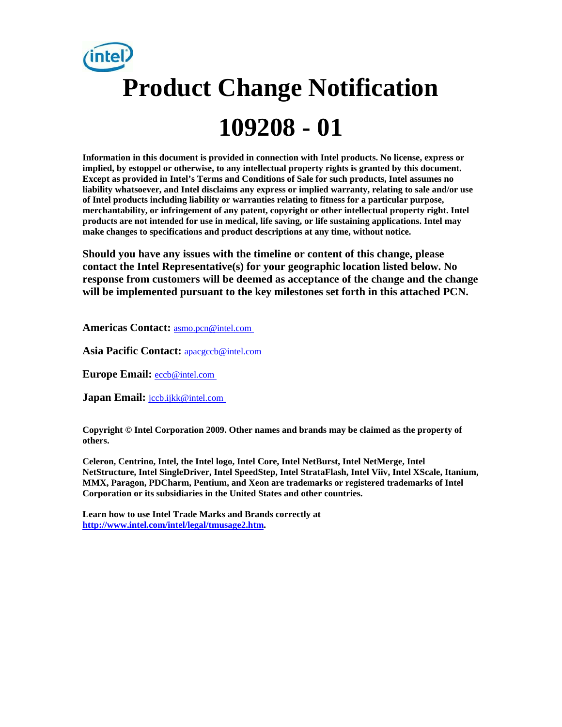# **Product Change Notification 109208 - 01**

**Information in this document is provided in connection with Intel products. No license, express or implied, by estoppel or otherwise, to any intellectual property rights is granted by this document. Except as provided in Intel's Terms and Conditions of Sale for such products, Intel assumes no liability whatsoever, and Intel disclaims any express or implied warranty, relating to sale and/or use of Intel products including liability or warranties relating to fitness for a particular purpose, merchantability, or infringement of any patent, copyright or other intellectual property right. Intel products are not intended for use in medical, life saving, or life sustaining applications. Intel may make changes to specifications and product descriptions at any time, without notice.** 

**Should you have any issues with the timeline or content of this change, please contact the Intel Representative(s) for your geographic location listed below. No response from customers will be deemed as acceptance of the change and the change will be implemented pursuant to the key milestones set forth in this attached PCN.** 

**Americas Contact:** [asmo.pcn@intel.com](mailto:asmo.pcn@intel.com) 

**Asia Pacific Contact:** [apacgccb@intel.com](mailto:apacgccb@intel.com) 

**Europe Email:** [eccb@intel.com](mailto:eccb@intel.com) 

**Japan Email: jccb.ijkk@intel.com** 

**Copyright © Intel Corporation 2009. Other names and brands may be claimed as the property of others.**

**Celeron, Centrino, Intel, the Intel logo, Intel Core, Intel NetBurst, Intel NetMerge, Intel NetStructure, Intel SingleDriver, Intel SpeedStep, Intel StrataFlash, Intel Viiv, Intel XScale, Itanium, MMX, Paragon, PDCharm, Pentium, and Xeon are trademarks or registered trademarks of Intel Corporation or its subsidiaries in the United States and other countries.** 

**Learn how to use Intel Trade Marks and Brands correctly at [http://www.intel.com/intel/legal/tmusage2.htm.](http://www.intel.com/intel/legal/tmusage2.htm)**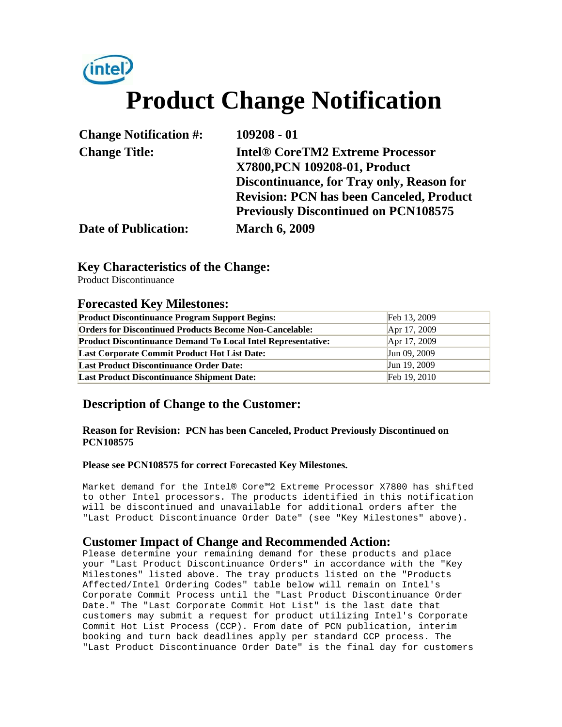# *(intel)* **Product Change Notification**

| 109208 - 01                                     |
|-------------------------------------------------|
| <b>Intel® CoreTM2 Extreme Processor</b>         |
| X7800, PCN 109208-01, Product                   |
| Discontinuance, for Tray only, Reason for       |
| <b>Revision: PCN has been Canceled, Product</b> |
| <b>Previously Discontinued on PCN108575</b>     |
| <b>March 6, 2009</b>                            |
|                                                 |

#### **Key Characteristics of the Change:**

Product Discontinuance

#### **Forecasted Key Milestones:**

| <b>Product Discontinuance Program Support Begins:</b>               | Feb 13, 2009 |
|---------------------------------------------------------------------|--------------|
| <b>Orders for Discontinued Products Become Non-Cancelable:</b>      | Apr 17, 2009 |
| <b>Product Discontinuance Demand To Local Intel Representative:</b> | Apr 17, 2009 |
| <b>Last Corporate Commit Product Hot List Date:</b>                 | Jun 09, 2009 |
| <b>Last Product Discontinuance Order Date:</b>                      | Jun 19, 2009 |
| <b>Last Product Discontinuance Shipment Date:</b>                   | Feb 19, 2010 |

### **Description of Change to the Customer:**

#### **Reason for Revision: PCN has been Canceled, Product Previously Discontinued on PCN108575**

#### **Please see PCN108575 for correct Forecasted Key Milestones.**

Market demand for the Intel® Core™2 Extreme Processor X7800 has shifted to other Intel processors. The products identified in this notification will be discontinued and unavailable for additional orders after the "Last Product Discontinuance Order Date" (see "Key Milestones" above).

#### **Customer Impact of Change and Recommended Action:**

Please determine your remaining demand for these products and place your "Last Product Discontinuance Orders" in accordance with the "Key Milestones" listed above. The tray products listed on the "Products Affected/Intel Ordering Codes" table below will remain on Intel's Corporate Commit Process until the "Last Product Discontinuance Order Date." The "Last Corporate Commit Hot List" is the last date that customers may submit a request for product utilizing Intel's Corporate Commit Hot List Process (CCP). From date of PCN publication, interim booking and turn back deadlines apply per standard CCP process. The "Last Product Discontinuance Order Date" is the final day for customers